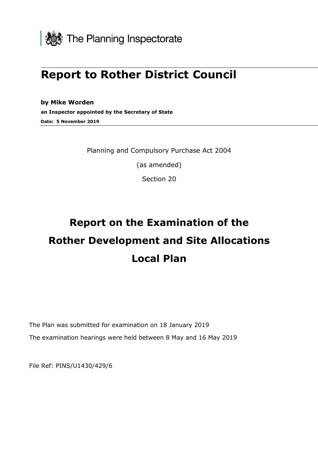

## **Report to Rother District Council**

**by Mike Worden an Inspector appointed by the Secretary of State Date: 5 November 2019**

Planning and Compulsory Purchase Act 2004

(as amended)

Section 20

# **Report on the Examination of the Rother Development and Site Allocations Local Plan**

The Plan was submitted for examination on 18 January 2019 The examination hearings were held between 8 May and 16 May 2019

File Ref: PINS/U1430/429/6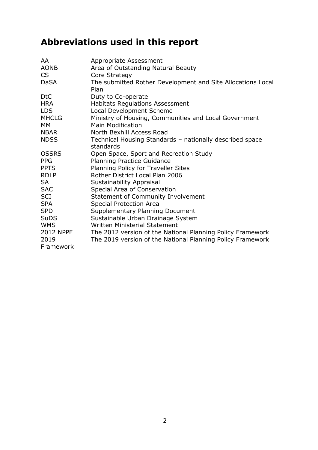## **Abbreviations used in this report**

| AA           | Appropriate Assessment                                                            |
|--------------|-----------------------------------------------------------------------------------|
| <b>AONB</b>  | Area of Outstanding Natural Beauty                                                |
| CS           | Core Strategy                                                                     |
| <b>DaSA</b>  | The submitted Rother Development and Site Allocations Local<br>Plan               |
| <b>DtC</b>   | Duty to Co-operate                                                                |
| <b>HRA</b>   | <b>Habitats Regulations Assessment</b>                                            |
| <b>LDS</b>   | <b>Local Development Scheme</b>                                                   |
| <b>MHCLG</b> |                                                                                   |
| MM           | Ministry of Housing, Communities and Local Government<br><b>Main Modification</b> |
| <b>NBAR</b>  | North Bexhill Access Road                                                         |
|              |                                                                                   |
| <b>NDSS</b>  | Technical Housing Standards - nationally described space<br>standards             |
| <b>OSSRS</b> |                                                                                   |
|              | Open Space, Sport and Recreation Study                                            |
| <b>PPG</b>   | <b>Planning Practice Guidance</b>                                                 |
| <b>PPTS</b>  | Planning Policy for Traveller Sites                                               |
| <b>RDLP</b>  | Rother District Local Plan 2006                                                   |
| <b>SA</b>    | <b>Sustainability Appraisal</b>                                                   |
| <b>SAC</b>   | Special Area of Conservation                                                      |
| SCI          | Statement of Community Involvement                                                |
| <b>SPA</b>   | <b>Special Protection Area</b>                                                    |
| <b>SPD</b>   | <b>Supplementary Planning Document</b>                                            |
| <b>SuDS</b>  | Sustainable Urban Drainage System                                                 |
| <b>WMS</b>   | <b>Written Ministerial Statement</b>                                              |
| 2012 NPPF    | The 2012 version of the National Planning Policy Framework                        |
| 2019         | The 2019 version of the National Planning Policy Framework                        |
| Framework    |                                                                                   |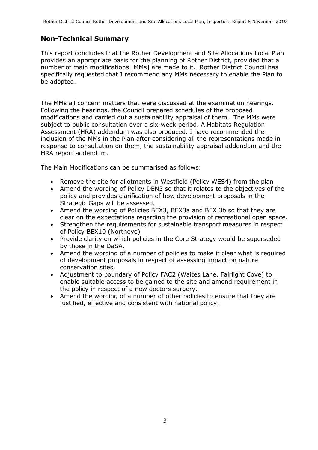#### **Non-Technical Summary**

This report concludes that the Rother Development and Site Allocations Local Plan provides an appropriate basis for the planning of Rother District, provided that a number of main modifications [MMs] are made to it. Rother District Council has specifically requested that I recommend any MMs necessary to enable the Plan to be adopted.

The MMs all concern matters that were discussed at the examination hearings. Following the hearings, the Council prepared schedules of the proposed modifications and carried out a sustainability appraisal of them. The MMs were subject to public consultation over a six-week period. A Habitats Regulation Assessment (HRA) addendum was also produced. I have recommended the inclusion of the MMs in the Plan after considering all the representations made in response to consultation on them, the sustainability appraisal addendum and the HRA report addendum.

The Main Modifications can be summarised as follows:

- Remove the site for allotments in Westfield (Policy WES4) from the plan
- Amend the wording of Policy DEN3 so that it relates to the objectives of the policy and provides clarification of how development proposals in the Strategic Gaps will be assessed.
- Amend the wording of Policies BEX3, BEX3a and BEX 3b so that they are clear on the expectations regarding the provision of recreational open space.
- Strengthen the requirements for sustainable transport measures in respect of Policy BEX10 (Northeye)
- Provide clarity on which policies in the Core Strategy would be superseded by those in the DaSA.
- Amend the wording of a number of policies to make it clear what is required of development proposals in respect of assessing impact on nature conservation sites.
- Adjustment to boundary of Policy FAC2 (Waites Lane, Fairlight Cove) to enable suitable access to be gained to the site and amend requirement in the policy in respect of a new doctors surgery.
- Amend the wording of a number of other policies to ensure that they are justified, effective and consistent with national policy.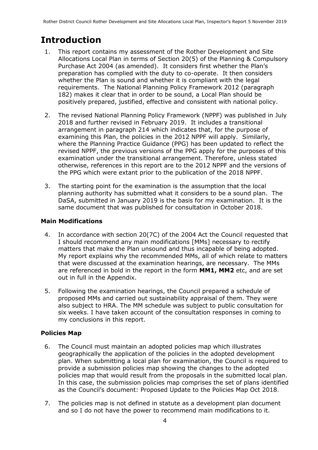## **Introduction**

- 1. This report contains my assessment of the Rother Development and Site Allocations Local Plan in terms of Section 20(5) of the Planning & Compulsory Purchase Act 2004 (as amended). It considers first whether the Plan's preparation has complied with the duty to co-operate. It then considers whether the Plan is sound and whether it is compliant with the legal requirements. The National Planning Policy Framework 2012 (paragraph 182) makes it clear that in order to be sound, a Local Plan should be positively prepared, justified, effective and consistent with national policy.
- 2. The revised National Planning Policy Framework (NPPF) was published in July 2018 and further revised in February 2019. It includes a transitional arrangement in paragraph 214 which indicates that, for the purpose of examining this Plan, the policies in the 2012 NPPF will apply. Similarly, where the Planning Practice Guidance (PPG) has been updated to reflect the revised NPPF, the previous versions of the PPG apply for the purposes of this examination under the transitional arrangement. Therefore, unless stated otherwise, references in this report are to the 2012 NPPF and the versions of the PPG which were extant prior to the publication of the 2018 NPPF.
- 3. The starting point for the examination is the assumption that the local planning authority has submitted what it considers to be a sound plan. The DaSA, submitted in January 2019 is the basis for my examination. It is the same document that was published for consultation in October 2018.

#### **Main Modifications**

- 4. In accordance with section 20(7C) of the 2004 Act the Council requested that I should recommend any main modifications [MMs] necessary to rectify matters that make the Plan unsound and thus incapable of being adopted. My report explains why the recommended MMs, all of which relate to matters that were discussed at the examination hearings, are necessary. The MMs are referenced in bold in the report in the form **MM1, MM2** etc, and are set out in full in the Appendix.
- 5. Following the examination hearings, the Council prepared a schedule of proposed MMs and carried out sustainability appraisal of them. They were also subject to HRA. The MM schedule was subject to public consultation for six weeks. I have taken account of the consultation responses in coming to my conclusions in this report.

#### **Policies Map**

- 6. The Council must maintain an adopted policies map which illustrates geographically the application of the policies in the adopted development plan. When submitting a local plan for examination, the Council is required to provide a submission policies map showing the changes to the adopted policies map that would result from the proposals in the submitted local plan. In this case, the submission policies map comprises the set of plans identified as the Council's document: Proposed Update to the Policies Map Oct 2018.
- 7. The policies map is not defined in statute as a development plan document and so I do not have the power to recommend main modifications to it.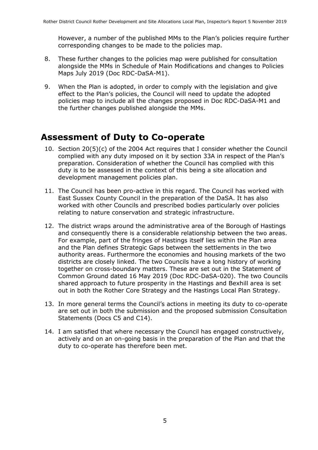However, a number of the published MMs to the Plan's policies require further corresponding changes to be made to the policies map.

- 8. These further changes to the policies map were published for consultation alongside the MMs in Schedule of Main Modifications and changes to Policies Maps July 2019 (Doc RDC-DaSA-M1).
- 9. When the Plan is adopted, in order to comply with the legislation and give effect to the Plan's policies, the Council will need to update the adopted policies map to include all the changes proposed in Doc RDC-DaSA-M1 and the further changes published alongside the MMs.

### **Assessment of Duty to Co-operate**

- 10. Section 20(5)(c) of the 2004 Act requires that I consider whether the Council complied with any duty imposed on it by section 33A in respect of the Plan's preparation. Consideration of whether the Council has complied with this duty is to be assessed in the context of this being a site allocation and development management policies plan.
- 11. The Council has been pro-active in this regard. The Council has worked with East Sussex County Council in the preparation of the DaSA. It has also worked with other Councils and prescribed bodies particularly over policies relating to nature conservation and strategic infrastructure.
- 12. The district wraps around the administrative area of the Borough of Hastings and consequently there is a considerable relationship between the two areas. For example, part of the fringes of Hastings itself lies within the Plan area and the Plan defines Strategic Gaps between the settlements in the two authority areas. Furthermore the economies and housing markets of the two districts are closely linked. The two Councils have a long history of working together on cross-boundary matters. These are set out in the Statement of Common Ground dated 16 May 2019 (Doc RDC-DaSA-020). The two Councils shared approach to future prosperity in the Hastings and Bexhill area is set out in both the Rother Core Strategy and the Hastings Local Plan Strategy.
- 13. In more general terms the Council's actions in meeting its duty to co-operate are set out in both the submission and the proposed submission Consultation Statements (Docs C5 and C14).
- 14. I am satisfied that where necessary the Council has engaged constructively, actively and on an on-going basis in the preparation of the Plan and that the duty to co-operate has therefore been met.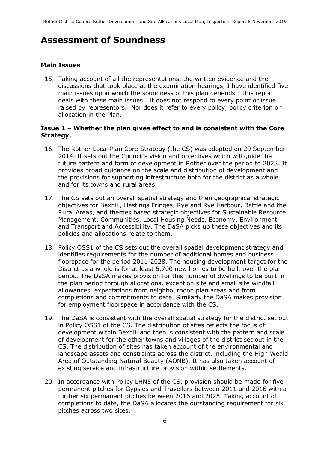### **Assessment of Soundness**

#### **Main Issues**

15. Taking account of all the representations, the written evidence and the discussions that took place at the examination hearings, I have identified five main issues upon which the soundness of this plan depends. This report deals with these main issues. It does not respond to every point or issue raised by representors. Nor does it refer to every policy, policy criterion or allocation in the Plan.

#### **Issue 1 – Whether the plan gives effect to and is consistent with the Core Strategy.**

- 16. The Rother Local Plan Core Strategy (the CS) was adopted on 29 September 2014. It sets out the Council's vision and objectives which will guide the future pattern and form of development in Rother over the period to 2028. It provides broad guidance on the scale and distribution of development and the provisions for supporting infrastructure both for the district as a whole and for its towns and rural areas.
- 17. The CS sets out an overall spatial strategy and then geographical strategic objectives for Bexhill, Hastings Fringes, Rye and Rye Harbour, Battle and the Rural Areas, and themes based strategic objectives for Sustainable Resource Management, Communities, Local Housing Needs, Economy, Environment and Transport and Accessibility. The DaSA picks up these objectives and its policies and allocations relate to them.
- 18. Policy OSS1 of the CS sets out the overall spatial development strategy and identifies requirements for the number of additional homes and business floorspace for the period 2011-2028. The housing development target for the District as a whole is for at least 5,700 new homes to be built over the plan period. The DaSA makes provision for this number of dwellings to be built in the plan period through allocations, exception site and small site windfall allowances, expectations from neighbourhood plan areas and from completions and commitments to date. Similarly the DaSA makes provision for employment floorspace in accordance with the CS.
- 19. The DaSA is consistent with the overall spatial strategy for the district set out in Policy OSS1 of the CS. The distribution of sites reflects the focus of development within Bexhill and then is consistent with the pattern and scale of development for the other towns and villages of the district set out in the CS. The distribution of sites has taken account of the environmental and landscape assets and constraints across the district, including the High Weald Area of Outstanding Natural Beauty (AONB). It has also taken account of existing service and infrastructure provision within settlements.
- 20. In accordance with Policy LHN5 of the CS, provision should be made for five permanent pitches for Gypsies and Travellers between 2011 and 2016 with a further six permanent pitches between 2016 and 2028. Taking account of completions to date, the DaSA allocates the outstanding requirement for six pitches across two sites.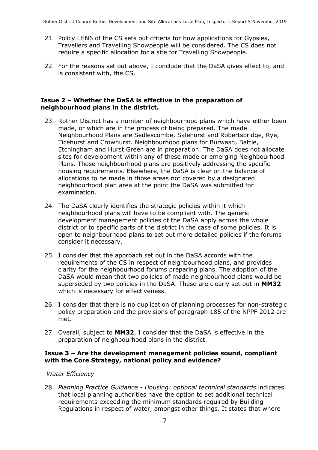- 21. Policy LHN6 of the CS sets out criteria for how applications for Gypsies, Travellers and Travelling Showpeople will be considered. The CS does not require a specific allocation for a site for Travelling Showpeople.
- 22. For the reasons set out above, I conclude that the DaSA gives effect to, and is consistent with, the CS.

#### **Issue 2 – Whether the DaSA is effective in the preparation of neighbourhood plans in the district.**

- 23. Rother District has a number of neighbourhood plans which have either been made, or which are in the process of being prepared. The made Neighbourhood Plans are Sedlescombe, Salehurst and Robertsbridge, Rye, Ticehurst and Crowhurst. Neighbourhood plans for Burwash, Battle, Etchingham and Hurst Green are in preparation. The DaSA does not allocate sites for development within any of these made or emerging Neighbourhood Plans. Those neighbourhood plans are positively addressing the specific housing requirements. Elsewhere, the DaSA is clear on the balance of allocations to be made in those areas not covered by a designated neighbourhood plan area at the point the DaSA was submitted for examination.
- 24. The DaSA clearly identifies the strategic policies within it which neighbourhood plans will have to be compliant with. The generic development management policies of the DaSA apply across the whole district or to specific parts of the district in the case of some policies. It is open to neighbourhood plans to set out more detailed policies if the forums consider it necessary.
- 25. I consider that the approach set out in the DaSA accords with the requirements of the CS in respect of neighbourhood plans, and provides clarity for the neighbourhood forums preparing plans. The adoption of the DaSA would mean that two policies of made neighbourhood plans would be superseded by two policies in the DaSA. These are clearly set out in **MM32** which is necessary for effectiveness.
- 26. I consider that there is no duplication of planning processes for non-strategic policy preparation and the provisions of paragraph 185 of the NPPF 2012 are met.
- 27. Overall, subject to **MM32**, I consider that the DaSA is effective in the preparation of neighbourhood plans in the district.

#### **Issue 3 – Are the development management policies sound, compliant with the Core Strategy, national policy and evidence?**

#### *Water Efficiency*

28. *Planning Practice Guidance - Housing: optional technical standards* indicates that local planning authorities have the option to set additional technical requirements exceeding the minimum standards required by Building Regulations in respect of water, amongst other things. It states that where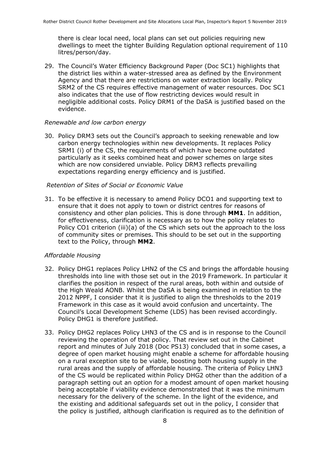there is clear local need, local plans can set out policies requiring new dwellings to meet the tighter Building Regulation optional requirement of 110 litres/person/day.

29. The Council's Water Efficiency Background Paper (Doc SC1) highlights that the district lies within a water-stressed area as defined by the Environment Agency and that there are restrictions on water extraction locally. Policy SRM2 of the CS requires effective management of water resources. Doc SC1 also indicates that the use of flow restricting devices would result in negligible additional costs. Policy DRM1 of the DaSA is justified based on the evidence.

#### *Renewable and low carbon energy*

30. Policy DRM3 sets out the Council's approach to seeking renewable and low carbon energy technologies within new developments. It replaces Policy SRM1 (i) of the CS, the requirements of which have become outdated particularly as it seeks combined heat and power schemes on large sites which are now considered unviable. Policy DRM3 reflects prevailing expectations regarding energy efficiency and is justified.

#### *Retention of Sites of Social or Economic Value*

31. To be effective it is necessary to amend Policy DCO1 and supporting text to ensure that it does not apply to town or district centres for reasons of consistency and other plan policies. This is done through **MM1**. In addition, for effectiveness, clarification is necessary as to how the policy relates to Policy CO1 criterion (iii)(a) of the CS which sets out the approach to the loss of community sites or premises. This should to be set out in the supporting text to the Policy, through **MM2**.

#### *Affordable Housing*

- 32. Policy DHG1 replaces Policy LHN2 of the CS and brings the affordable housing thresholds into line with those set out in the 2019 Framework. In particular it clarifies the position in respect of the rural areas, both within and outside of the High Weald AONB. Whilst the DaSA is being examined in relation to the 2012 NPPF, I consider that it is justified to align the thresholds to the 2019 Framework in this case as it would avoid confusion and uncertainty. The Council's Local Development Scheme (LDS) has been revised accordingly. Policy DHG1 is therefore justified.
- 33. Policy DHG2 replaces Policy LHN3 of the CS and is in response to the Council reviewing the operation of that policy. That review set out in the Cabinet report and minutes of July 2018 (Doc PS13) concluded that in some cases, a degree of open market housing might enable a scheme for affordable housing on a rural exception site to be viable, boosting both housing supply in the rural areas and the supply of affordable housing. The criteria of Policy LHN3 of the CS would be replicated within Policy DHG2 other than the addition of a paragraph setting out an option for a modest amount of open market housing being acceptable if viability evidence demonstrated that it was the minimum necessary for the delivery of the scheme. In the light of the evidence, and the existing and additional safeguards set out in the policy, I consider that the policy is justified, although clarification is required as to the definition of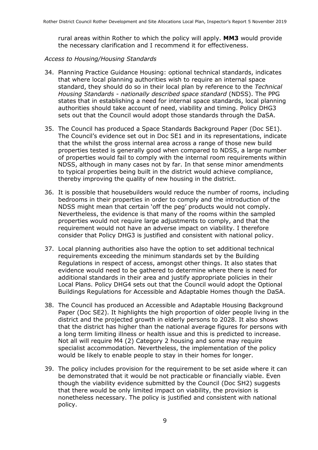rural areas within Rother to which the policy will apply. **MM3** would provide the necessary clarification and I recommend it for effectiveness.

#### *Access to Housing/Housing Standards*

- 34. Planning Practice Guidance Housing: optional technical standards, indicates that where local planning authorities wish to require an internal space standard, they should do so in their local plan by reference to the *Technical Housing Standards - nationally described space standard* (NDSS). The PPG states that in establishing a need for internal space standards, local planning authorities should take account of need, viability and timing. Policy DHG3 sets out that the Council would adopt those standards through the DaSA.
- 35. The Council has produced a Space Standards Background Paper (Doc SE1). The Council's evidence set out in Doc SE1 and in its representations, indicate that the whilst the gross internal area across a range of those new build properties tested is generally good when compared to NDSS, a large number of properties would fail to comply with the internal room requirements within NDSS, although in many cases not by far. In that sense minor amendments to typical properties being built in the district would achieve compliance, thereby improving the quality of new housing in the district.
- 36. It is possible that housebuilders would reduce the number of rooms, including bedrooms in their properties in order to comply and the introduction of the NDSS might mean that certain 'off the peg' products would not comply. Nevertheless, the evidence is that many of the rooms within the sampled properties would not require large adjustments to comply, and that the requirement would not have an adverse impact on viability. I therefore consider that Policy DHG3 is justified and consistent with national policy.
- 37. Local planning authorities also have the option to set additional technical requirements exceeding the minimum standards set by the Building Regulations in respect of access, amongst other things. It also states that evidence would need to be gathered to determine where there is need for additional standards in their area and justify appropriate policies in their Local Plans. Policy DHG4 sets out that the Council would adopt the Optional Buildings Regulations for Accessible and Adaptable Homes though the DaSA.
- 38. The Council has produced an Accessible and Adaptable Housing Background Paper (Doc SE2). It highlights the high proportion of older people living in the district and the projected growth in elderly persons to 2028. It also shows that the district has higher than the national average figures for persons with a long term limiting illness or health issue and this is predicted to increase. Not all will require M4 (2) Category 2 housing and some may require specialist accommodation. Nevertheless, the implementation of the policy would be likely to enable people to stay in their homes for longer.
- 39. The policy includes provision for the requirement to be set aside where it can be demonstrated that it would be not practicable or financially viable. Even though the viability evidence submitted by the Council (Doc SH2) suggests that there would be only limited impact on viability, the provision is nonetheless necessary. The policy is justified and consistent with national policy.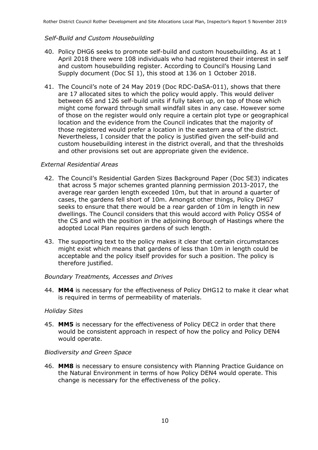#### *Self-Build and Custom Housebuilding*

- 40. Policy DHG6 seeks to promote self-build and custom housebuilding. As at 1 April 2018 there were 108 individuals who had registered their interest in self and custom housebuilding register. According to Council's Housing Land Supply document (Doc SI 1), this stood at 136 on 1 October 2018.
- 41. The Council's note of 24 May 2019 (Doc RDC-DaSA-011), shows that there are 17 allocated sites to which the policy would apply. This would deliver between 65 and 126 self-build units if fully taken up, on top of those which might come forward through small windfall sites in any case. However some of those on the register would only require a certain plot type or geographical location and the evidence from the Council indicates that the majority of those registered would prefer a location in the eastern area of the district. Nevertheless, I consider that the policy is justified given the self-build and custom housebuilding interest in the district overall, and that the thresholds and other provisions set out are appropriate given the evidence.

#### *External Residential Areas*

- 42. The Council's Residential Garden Sizes Background Paper (Doc SE3) indicates that across 5 major schemes granted planning permission 2013-2017, the average rear garden length exceeded 10m, but that in around a quarter of cases, the gardens fell short of 10m. Amongst other things, Policy DHG7 seeks to ensure that there would be a rear garden of 10m in length in new dwellings. The Council considers that this would accord with Policy OSS4 of the CS and with the position in the adjoining Borough of Hastings where the adopted Local Plan requires gardens of such length.
- 43. The supporting text to the policy makes it clear that certain circumstances might exist which means that gardens of less than 10m in length could be acceptable and the policy itself provides for such a position. The policy is therefore justified.

#### *Boundary Treatments, Accesses and Drives*

44. **MM4** is necessary for the effectiveness of Policy DHG12 to make it clear what is required in terms of permeability of materials.

#### *Holiday Sites*

45. **MM5** is necessary for the effectiveness of Policy DEC2 in order that there would be consistent approach in respect of how the policy and Policy DEN4 would operate.

#### *Biodiversity and Green Space*

46. **MM8** is necessary to ensure consistency with Planning Practice Guidance on the Natural Environment in terms of how Policy DEN4 would operate. This change is necessary for the effectiveness of the policy.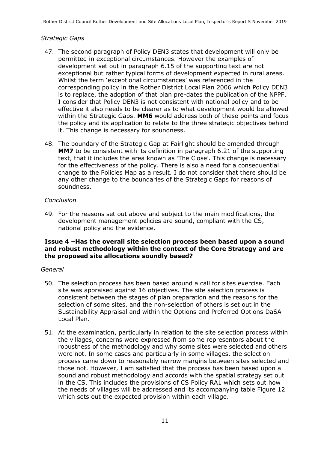#### *Strategic Gaps*

- 47. The second paragraph of Policy DEN3 states that development will only be permitted in exceptional circumstances. However the examples of development set out in paragraph 6.15 of the supporting text are not exceptional but rather typical forms of development expected in rural areas. Whilst the term 'exceptional circumstances' was referenced in the corresponding policy in the Rother District Local Plan 2006 which Policy DEN3 is to replace, the adoption of that plan pre-dates the publication of the NPPF. I consider that Policy DEN3 is not consistent with national policy and to be effective it also needs to be clearer as to what development would be allowed within the Strategic Gaps. **MM6** would address both of these points and focus the policy and its application to relate to the three strategic objectives behind it. This change is necessary for soundness.
- 48. The boundary of the Strategic Gap at Fairlight should be amended through **MM7** to be consistent with its definition in paragraph 6.21 of the supporting text, that it includes the area known as 'The Close'. This change is necessary for the effectiveness of the policy. There is also a need for a consequential change to the Policies Map as a result. I do not consider that there should be any other change to the boundaries of the Strategic Gaps for reasons of soundness.

#### *Conclusion*

49. For the reasons set out above and subject to the main modifications, the development management policies are sound, compliant with the CS, national policy and the evidence.

#### **Issue 4 –Has the overall site selection process been based upon a sound and robust methodology within the context of the Core Strategy and are the proposed site allocations soundly based?**

#### *General*

- 50. The selection process has been based around a call for sites exercise. Each site was appraised against 16 objectives. The site selection process is consistent between the stages of plan preparation and the reasons for the selection of some sites, and the non-selection of others is set out in the Sustainability Appraisal and within the Options and Preferred Options DaSA Local Plan.
- 51. At the examination, particularly in relation to the site selection process within the villages, concerns were expressed from some representors about the robustness of the methodology and why some sites were selected and others were not. In some cases and particularly in some villages, the selection process came down to reasonably narrow margins between sites selected and those not. However, I am satisfied that the process has been based upon a sound and robust methodology and accords with the spatial strategy set out in the CS. This includes the provisions of CS Policy RA1 which sets out how the needs of villages will be addressed and its accompanying table Figure 12 which sets out the expected provision within each village.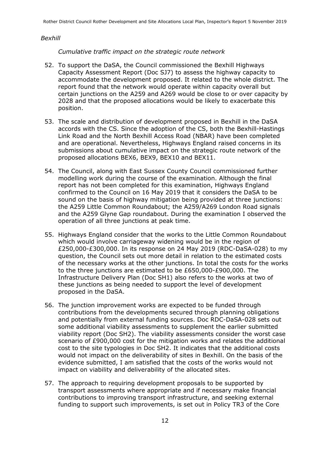#### *Bexhill*

*Cumulative traffic impact on the strategic route network*

- 52. To support the DaSA, the Council commissioned the Bexhill Highways Capacity Assessment Report (Doc SJ7) to assess the highway capacity to accommodate the development proposed. It related to the whole district. The report found that the network would operate within capacity overall but certain junctions on the A259 and A269 would be close to or over capacity by 2028 and that the proposed allocations would be likely to exacerbate this position.
- 53. The scale and distribution of development proposed in Bexhill in the DaSA accords with the CS. Since the adoption of the CS, both the Bexhill-Hastings Link Road and the North Bexhill Access Road (NBAR) have been completed and are operational. Nevertheless, Highways England raised concerns in its submissions about cumulative impact on the strategic route network of the proposed allocations BEX6, BEX9, BEX10 and BEX11.
- 54. The Council, along with East Sussex County Council commissioned further modelling work during the course of the examination. Although the final report has not been completed for this examination, Highways England confirmed to the Council on 16 May 2019 that it considers the DaSA to be sound on the basis of highway mitigation being provided at three junctions: the A259 Little Common Roundabout; the A259/A269 London Road signals and the A259 Glyne Gap roundabout. During the examination I observed the operation of all three junctions at peak time.
- 55. Highways England consider that the works to the Little Common Roundabout which would involve carriageway widening would be in the region of £250,000-£300,000. In its response on 24 May 2019 (RDC-DaSA-028) to my question, the Council sets out more detail in relation to the estimated costs of the necessary works at the other junctions. In total the costs for the works to the three junctions are estimated to be £650,000-£900,000. The Infrastructure Delivery Plan (Doc SH1) also refers to the works at two of these junctions as being needed to support the level of development proposed in the DaSA.
- 56. The junction improvement works are expected to be funded through contributions from the developments secured through planning obligations and potentially from external funding sources. Doc RDC-DaSA-028 sets out some additional viability assessments to supplement the earlier submitted viability report (Doc SH2). The viability assessments consider the worst case scenario of £900,000 cost for the mitigation works and relates the additional cost to the site typologies in Doc SH2. It indicates that the additional costs would not impact on the deliverability of sites in Bexhill. On the basis of the evidence submitted, I am satisfied that the costs of the works would not impact on viability and deliverability of the allocated sites.
- 57. The approach to requiring development proposals to be supported by transport assessments where appropriate and if necessary make financial contributions to improving transport infrastructure, and seeking external funding to support such improvements, is set out in Policy TR3 of the Core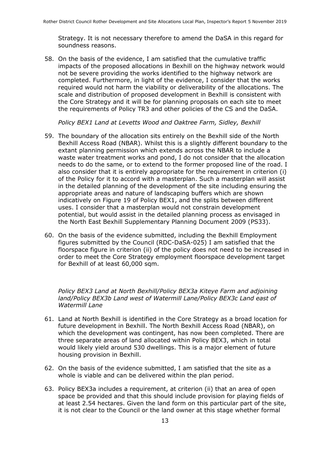Strategy. It is not necessary therefore to amend the DaSA in this regard for soundness reasons.

58. On the basis of the evidence, I am satisfied that the cumulative traffic impacts of the proposed allocations in Bexhill on the highway network would not be severe providing the works identified to the highway network are completed. Furthermore, in light of the evidence, I consider that the works required would not harm the viability or deliverability of the allocations. The scale and distribution of proposed development in Bexhill is consistent with the Core Strategy and it will be for planning proposals on each site to meet the requirements of Policy TR3 and other policies of the CS and the DaSA.

*Policy BEX1 Land at Levetts Wood and Oaktree Farm, Sidley, Bexhill*

- 59. The boundary of the allocation sits entirely on the Bexhill side of the North Bexhill Access Road (NBAR). Whilst this is a slightly different boundary to the extant planning permission which extends across the NBAR to include a waste water treatment works and pond, I do not consider that the allocation needs to do the same, or to extend to the former proposed line of the road. I also consider that it is entirely appropriate for the requirement in criterion (i) of the Policy for it to accord with a masterplan. Such a masterplan will assist in the detailed planning of the development of the site including ensuring the appropriate areas and nature of landscaping buffers which are shown indicatively on Figure 19 of Policy BEX1, and the splits between different uses. I consider that a masterplan would not constrain development potential, but would assist in the detailed planning process as envisaged in the North East Bexhill Supplementary Planning Document 2009 (PS33).
- 60. On the basis of the evidence submitted, including the Bexhill Employment figures submitted by the Council (RDC-DaSA-025) I am satisfied that the floorspace figure in criterion (ii) of the policy does not need to be increased in order to meet the Core Strategy employment floorspace development target for Bexhill of at least 60,000 sqm.

*Policy BEX3 Land at North Bexhill/Policy BEX3a Kiteye Farm and adjoining land/Policy BEX3b Land west of Watermill Lane/Policy BEX3c Land east of Watermill Lane*

- 61. Land at North Bexhill is identified in the Core Strategy as a broad location for future development in Bexhill. The North Bexhill Access Road (NBAR), on which the development was contingent, has now been completed. There are three separate areas of land allocated within Policy BEX3, which in total would likely yield around 530 dwellings. This is a major element of future housing provision in Bexhill.
- 62. On the basis of the evidence submitted, I am satisfied that the site as a whole is viable and can be delivered within the plan period.
- 63. Policy BEX3a includes a requirement, at criterion (ii) that an area of open space be provided and that this should include provision for playing fields of at least 2.54 hectares. Given the land form on this particular part of the site, it is not clear to the Council or the land owner at this stage whether formal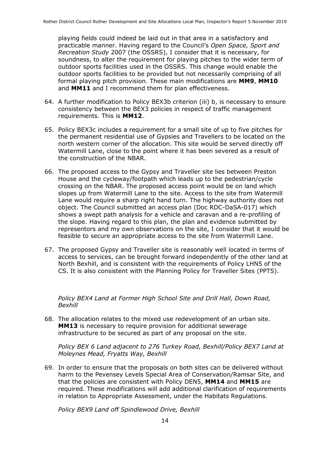playing fields could indeed be laid out in that area in a satisfactory and practicable manner. Having regard to the Council's *Open Space, Sport and Recreation Study* 2007 (the OSSRS), I consider that it is necessary, for soundness, to alter the requirement for playing pitches to the wider term of outdoor sports facilities used in the OSSRS. This change would enable the outdoor sports facilities to be provided but not necessarily comprising of all formal playing pitch provision. These main modifications are **MM9**, **MM10** and **MM11** and I recommend them for plan effectiveness.

- 64. A further modification to Policy BEX3b criterion (iii) b, is necessary to ensure consistency between the BEX3 policies in respect of traffic management requirements. This is **MM12**.
- 65. Policy BEX3c includes a requirement for a small site of up to five pitches for the permanent residential use of Gypsies and Travellers to be located on the north western corner of the allocation. This site would be served directly off Watermill Lane, close to the point where it has been severed as a result of the construction of the NBAR.
- 66. The proposed access to the Gypsy and Traveller site lies between Preston House and the cycleway/footpath which leads up to the pedestrian/cycle crossing on the NBAR. The proposed access point would be on land which slopes up from Watermill Lane to the site. Access to the site from Watermill Lane would require a sharp right hand turn. The highway authority does not object. The Council submitted an access plan (Doc RDC-DaSA-017) which shows a swept path analysis for a vehicle and caravan and a re-profiling of the slope. Having regard to this plan, the plan and evidence submitted by representors and my own observations on the site, I consider that it would be feasible to secure an appropriate access to the site from Watermill Lane.
- 67. The proposed Gypsy and Traveller site is reasonably well located in terms of access to services, can be brought forward independently of the other land at North Bexhill, and is consistent with the requirements of Policy LHN5 of the CS. It is also consistent with the Planning Policy for Traveller Sites (PPTS).

*Policy BEX4 Land at Former High School Site and Drill Hall, Down Road, Bexhill*

68. The allocation relates to the mixed use redevelopment of an urban site. **MM13** is necessary to require provision for additional sewerage infrastructure to be secured as part of any proposal on the site.

*Policy BEX 6 Land adjacent to 276 Turkey Road, Bexhill/Policy BEX7 Land at Moleynes Mead, Fryatts Way, Bexhill*

69. In order to ensure that the proposals on both sites can be delivered without harm to the Pevensey Levels Special Area of Conservation/Ramsar Site, and that the policies are consistent with Policy DEN5, **MM14** and **MM15** are required. These modifications will add additional clarification of requirements in relation to Appropriate Assessment, under the Habitats Regulations.

*Policy BEX9 Land off Spindlewood Drive, Bexhill*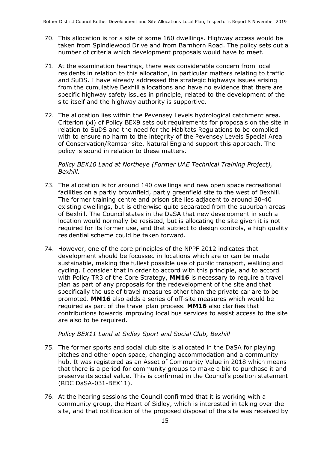- 70. This allocation is for a site of some 160 dwellings. Highway access would be taken from Spindlewood Drive and from Barnhorn Road. The policy sets out a number of criteria which development proposals would have to meet.
- 71. At the examination hearings, there was considerable concern from local residents in relation to this allocation, in particular matters relating to traffic and SuDS. I have already addressed the strategic highways issues arising from the cumulative Bexhill allocations and have no evidence that there are specific highway safety issues in principle, related to the development of the site itself and the highway authority is supportive.
- 72. The allocation lies within the Pevensey Levels hydrological catchment area. Criterion (xi) of Policy BEX9 sets out requirements for proposals on the site in relation to SuDS and the need for the Habitats Regulations to be complied with to ensure no harm to the integrity of the Pevensey Levels Special Area of Conservation/Ramsar site. Natural England support this approach. The policy is sound in relation to these matters.

*Policy BEX10 Land at Northeye (Former UAE Technical Training Project), Bexhill.*

- 73. The allocation is for around 140 dwellings and new open space recreational facilities on a partly brownfield, partly greenfield site to the west of Bexhill. The former training centre and prison site lies adjacent to around 30-40 existing dwellings, but is otherwise quite separated from the suburban areas of Bexhill. The Council states in the DaSA that new development in such a location would normally be resisted, but is allocating the site given it is not required for its former use, and that subject to design controls, a high quality residential scheme could be taken forward.
- 74. However, one of the core principles of the NPPF 2012 indicates that development should be focussed in locations which are or can be made sustainable, making the fullest possible use of public transport, walking and cycling. I consider that in order to accord with this principle, and to accord with Policy TR3 of the Core Strategy, **MM16** is necessary to require a travel plan as part of any proposals for the redevelopment of the site and that specifically the use of travel measures other than the private car are to be promoted. **MM16** also adds a series of off-site measures which would be required as part of the travel plan process. **MM16** also clarifies that contributions towards improving local bus services to assist access to the site are also to be required.

#### *Policy BEX11 Land at Sidley Sport and Social Club, Bexhill*

- 75. The former sports and social club site is allocated in the DaSA for playing pitches and other open space, changing accommodation and a community hub. It was registered as an Asset of Community Value in 2018 which means that there is a period for community groups to make a bid to purchase it and preserve its social value. This is confirmed in the Council's position statement (RDC DaSA-031-BEX11).
- 76. At the hearing sessions the Council confirmed that it is working with a community group, the Heart of Sidley, which is interested in taking over the site, and that notification of the proposed disposal of the site was received by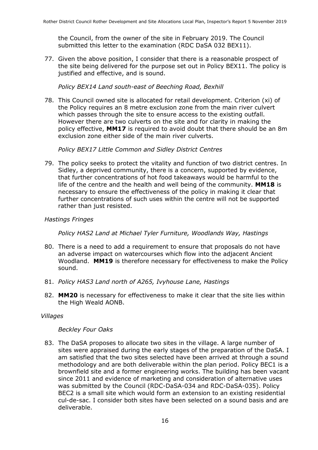the Council, from the owner of the site in February 2019. The Council submitted this letter to the examination (RDC DaSA 032 BEX11).

77. Given the above position, I consider that there is a reasonable prospect of the site being delivered for the purpose set out in Policy BEX11. The policy is justified and effective, and is sound.

#### *Policy BEX14 Land south-east of Beeching Road, Bexhill*

78. This Council owned site is allocated for retail development. Criterion (xi) of the Policy requires an 8 metre exclusion zone from the main river culvert which passes through the site to ensure access to the existing outfall. However there are two culverts on the site and for clarity in making the policy effective, **MM17** is required to avoid doubt that there should be an 8m exclusion zone either side of the main river culverts.

*Policy BEX17 Little Common and Sidley District Centres*

79. The policy seeks to protect the vitality and function of two district centres. In Sidley, a deprived community, there is a concern, supported by evidence, that further concentrations of hot food takeaways would be harmful to the life of the centre and the health and well being of the community. **MM18** is necessary to ensure the effectiveness of the policy in making it clear that further concentrations of such uses within the centre will not be supported rather than just resisted.

#### *Hastings Fringes*

*Policy HAS2 Land at Michael Tyler Furniture, Woodlands Way, Hastings*

- 80. There is a need to add a requirement to ensure that proposals do not have an adverse impact on watercourses which flow into the adjacent Ancient Woodland. **MM19** is therefore necessary for effectiveness to make the Policy sound.
- 81. *Policy HAS3 Land north of A265, Ivyhouse Lane, Hastings*
- 82. **MM20** is necessary for effectiveness to make it clear that the site lies within the High Weald AONB.

#### *Villages*

#### *Beckley Four Oaks*

83. The DaSA proposes to allocate two sites in the village. A large number of sites were appraised during the early stages of the preparation of the DaSA. I am satisfied that the two sites selected have been arrived at through a sound methodology and are both deliverable within the plan period. Policy BEC1 is a brownfield site and a former engineering works. The building has been vacant since 2011 and evidence of marketing and consideration of alternative uses was submitted by the Council (RDC-DaSA-034 and RDC-DaSA-035). Policy BEC2 is a small site which would form an extension to an existing residential cul-de-sac. I consider both sites have been selected on a sound basis and are deliverable.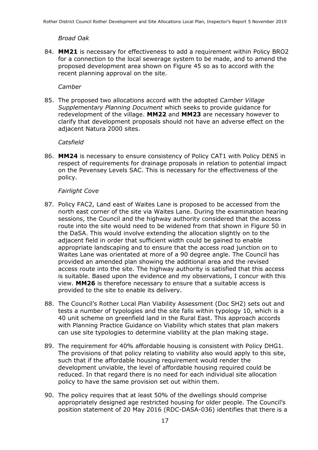#### *Broad Oak*

84. **MM21** is necessary for effectiveness to add a requirement within Policy BRO2 for a connection to the local sewerage system to be made, and to amend the proposed development area shown on Figure 45 so as to accord with the recent planning approval on the site.

#### *Camber*

85. The proposed two allocations accord with the adopted *Camber Village Supplementary Planning Document* which seeks to provide guidance for redevelopment of the village. **MM22** and **MM23** are necessary however to clarify that development proposals should not have an adverse effect on the adjacent Natura 2000 sites.

#### *Catsfield*

86. **MM24** is necessary to ensure consistency of Policy CAT1 with Policy DEN5 in respect of requirements for drainage proposals in relation to potential impact on the Pevensey Levels SAC. This is necessary for the effectiveness of the policy.

#### *Fairlight Cove*

- 87. Policy FAC2, Land east of Waites Lane is proposed to be accessed from the north east corner of the site via Waites Lane. During the examination hearing sessions, the Council and the highway authority considered that the access route into the site would need to be widened from that shown in Figure 50 in the DaSA. This would involve extending the allocation slightly on to the adjacent field in order that sufficient width could be gained to enable appropriate landscaping and to ensure that the access road junction on to Waites Lane was orientated at more of a 90 degree angle. The Council has provided an amended plan showing the additional area and the revised access route into the site. The highway authority is satisfied that this access is suitable. Based upon the evidence and my observations, I concur with this view. **MM26** is therefore necessary to ensure that a suitable access is provided to the site to enable its delivery.
- 88. The Council's Rother Local Plan Viability Assessment (Doc SH2) sets out and tests a number of typologies and the site falls within typology 10, which is a 40 unit scheme on greenfield land in the Rural East. This approach accords with Planning Practice Guidance on Viability which states that plan makers can use site typologies to determine viability at the plan making stage.
- 89. The requirement for 40% affordable housing is consistent with Policy DHG1. The provisions of that policy relating to viability also would apply to this site, such that if the affordable housing requirement would render the development unviable, the level of affordable housing required could be reduced. In that regard there is no need for each individual site allocation policy to have the same provision set out within them.
- 90. The policy requires that at least 50% of the dwellings should comprise appropriately designed age restricted housing for older people. The Council's position statement of 20 May 2016 (RDC-DASA-036) identifies that there is a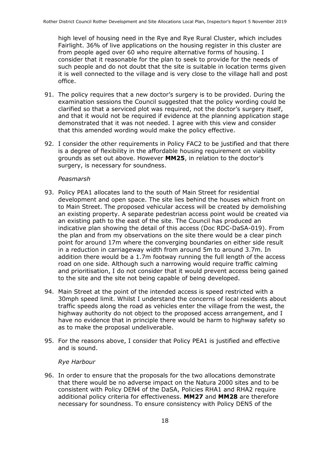high level of housing need in the Rye and Rye Rural Cluster, which includes Fairlight. 36% of live applications on the housing register in this cluster are from people aged over 60 who require alternative forms of housing. I consider that it reasonable for the plan to seek to provide for the needs of such people and do not doubt that the site is suitable in location terms given it is well connected to the village and is very close to the village hall and post office.

- 91. The policy requires that a new doctor's surgery is to be provided. During the examination sessions the Council suggested that the policy wording could be clarified so that a serviced plot was required, not the doctor's surgery itself, and that it would not be required if evidence at the planning application stage demonstrated that it was not needed. I agree with this view and consider that this amended wording would make the policy effective.
- 92. I consider the other requirements in Policy FAC2 to be justified and that there is a degree of flexibility in the affordable housing requirement on viability grounds as set out above. However **MM25**, in relation to the doctor's surgery, is necessary for soundness.

#### *Peasmarsh*

- 93. Policy PEA1 allocates land to the south of Main Street for residential development and open space. The site lies behind the houses which front on to Main Street. The proposed vehicular access will be created by demolishing an existing property. A separate pedestrian access point would be created via an existing path to the east of the site. The Council has produced an indicative plan showing the detail of this access (Doc RDC-DaSA-019). From the plan and from my observations on the site there would be a clear pinch point for around 17m where the converging boundaries on either side result in a reduction in carriageway width from around 5m to around 3.7m. In addition there would be a 1.7m footway running the full length of the access road on one side. Although such a narrowing would require traffic calming and prioritisation, I do not consider that it would prevent access being gained to the site and the site not being capable of being developed.
- 94. Main Street at the point of the intended access is speed restricted with a 30mph speed limit. Whilst I understand the concerns of local residents about traffic speeds along the road as vehicles enter the village from the west, the highway authority do not object to the proposed access arrangement, and I have no evidence that in principle there would be harm to highway safety so as to make the proposal undeliverable.
- 95. For the reasons above, I consider that Policy PEA1 is justified and effective and is sound.

#### *Rye Harbour*

96. In order to ensure that the proposals for the two allocations demonstrate that there would be no adverse impact on the Natura 2000 sites and to be consistent with Policy DEN4 of the DaSA, Policies RHA1 and RHA2 require additional policy criteria for effectiveness. **MM27** and **MM28** are therefore necessary for soundness. To ensure consistency with Policy DEN5 of the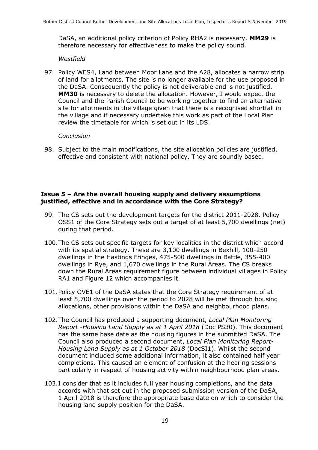DaSA, an additional policy criterion of Policy RHA2 is necessary. **MM29** is therefore necessary for effectiveness to make the policy sound.

#### *Westfield*

97. Policy WES4, Land between Moor Lane and the A28, allocates a narrow strip of land for allotments. The site is no longer available for the use proposed in the DaSA. Consequently the policy is not deliverable and is not justified. **MM30** is necessary to delete the allocation. However, I would expect the Council and the Parish Council to be working together to find an alternative site for allotments in the village given that there is a recognised shortfall in the village and if necessary undertake this work as part of the Local Plan review the timetable for which is set out in its LDS.

#### *Conclusion*

98. Subject to the main modifications, the site allocation policies are justified, effective and consistent with national policy. They are soundly based.

#### **Issue 5 – Are the overall housing supply and delivery assumptions justified, effective and in accordance with the Core Strategy?**

- 99. The CS sets out the development targets for the district 2011-2028. Policy OSS1 of the Core Strategy sets out a target of at least 5,700 dwellings (net) during that period.
- 100.The CS sets out specific targets for key localities in the district which accord with its spatial strategy. These are 3,100 dwellings in Bexhill, 100-250 dwellings in the Hastings Fringes, 475-500 dwellings in Battle, 355-400 dwellings in Rye, and 1,670 dwellings in the Rural Areas. The CS breaks down the Rural Areas requirement figure between individual villages in Policy RA1 and Figure 12 which accompanies it.
- 101.Policy OVE1 of the DaSA states that the Core Strategy requirement of at least 5,700 dwellings over the period to 2028 will be met through housing allocations, other provisions within the DaSA and neighbourhood plans.
- 102.The Council has produced a supporting document, *Local Plan Monitoring Report -Housing Land Supply as at 1 April 2018* (Doc PS30). This document has the same base date as the housing figures in the submitted DaSA. The Council also produced a second document, *Local Plan Monitoring Report-Housing Land Supply as at 1 October 2018* (DocSI1). Whilst the second document included some additional information, it also contained half year completions. This caused an element of confusion at the hearing sessions particularly in respect of housing activity within neighbourhood plan areas.
- 103.I consider that as it includes full year housing completions, and the data accords with that set out in the proposed submission version of the DaSA, 1 April 2018 is therefore the appropriate base date on which to consider the housing land supply position for the DaSA.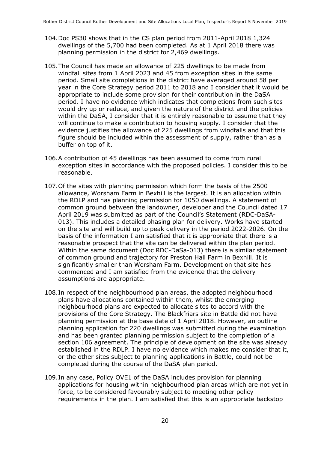- 104.Doc PS30 shows that in the CS plan period from 2011-April 2018 1,324 dwellings of the 5,700 had been completed. As at 1 April 2018 there was planning permission in the district for 2,469 dwellings.
- 105.The Council has made an allowance of 225 dwellings to be made from windfall sites from 1 April 2023 and 45 from exception sites in the same period. Small site completions in the district have averaged around 58 per year in the Core Strategy period 2011 to 2018 and I consider that it would be appropriate to include some provision for their contribution in the DaSA period. I have no evidence which indicates that completions from such sites would dry up or reduce, and given the nature of the district and the policies within the DaSA, I consider that it is entirely reasonable to assume that they will continue to make a contribution to housing supply. I consider that the evidence justifies the allowance of 225 dwellings from windfalls and that this figure should be included within the assessment of supply, rather than as a buffer on top of it.
- 106.A contribution of 45 dwellings has been assumed to come from rural exception sites in accordance with the proposed policies. I consider this to be reasonable.
- 107.Of the sites with planning permission which form the basis of the 2500 allowance, Worsham Farm in Bexhill is the largest. It is an allocation within the RDLP and has planning permission for 1050 dwellings. A statement of common ground between the landowner, developer and the Council dated 17 April 2019 was submitted as part of the Council's Statement (RDC-DaSA-013). This includes a detailed phasing plan for delivery. Works have started on the site and will build up to peak delivery in the period 2022-2026. On the basis of the information I am satisfied that it is appropriate that there is a reasonable prospect that the site can be delivered within the plan period. Within the same document (Doc RDC-DaSa-013) there is a similar statement of common ground and trajectory for Preston Hall Farm in Bexhill. It is significantly smaller than Worsham Farm. Development on that site has commenced and I am satisfied from the evidence that the delivery assumptions are appropriate.
- 108.In respect of the neighbourhood plan areas, the adopted neighbourhood plans have allocations contained within them, whilst the emerging neighbourhood plans are expected to allocate sites to accord with the provisions of the Core Strategy. The Blackfriars site in Battle did not have planning permission at the base date of 1 April 2018. However, an outline planning application for 220 dwellings was submitted during the examination and has been granted planning permission subject to the completion of a section 106 agreement. The principle of development on the site was already established in the RDLP. I have no evidence which makes me consider that it, or the other sites subject to planning applications in Battle, could not be completed during the course of the DaSA plan period.
- 109.In any case, Policy OVE1 of the DaSA includes provision for planning applications for housing within neighbourhood plan areas which are not yet in force, to be considered favourably subject to meeting other policy requirements in the plan. I am satisfied that this is an appropriate backstop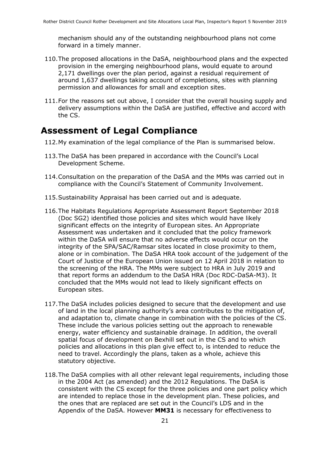mechanism should any of the outstanding neighbourhood plans not come forward in a timely manner.

- 110.The proposed allocations in the DaSA, neighbourhood plans and the expected provision in the emerging neighbourhood plans, would equate to around 2,171 dwellings over the plan period, against a residual requirement of around 1,637 dwellings taking account of completions, sites with planning permission and allowances for small and exception sites.
- 111.For the reasons set out above, I consider that the overall housing supply and delivery assumptions within the DaSA are justified, effective and accord with the CS.

### **Assessment of Legal Compliance**

- 112.My examination of the legal compliance of the Plan is summarised below.
- 113.The DaSA has been prepared in accordance with the Council's Local Development Scheme.
- 114.Consultation on the preparation of the DaSA and the MMs was carried out in compliance with the Council's Statement of Community Involvement.
- 115.Sustainability Appraisal has been carried out and is adequate.
- 116.The Habitats Regulations Appropriate Assessment Report September 2018 (Doc SG2) identified those policies and sites which would have likely significant effects on the integrity of European sites. An Appropriate Assessment was undertaken and it concluded that the policy framework within the DaSA will ensure that no adverse effects would occur on the integrity of the SPA/SAC/Ramsar sites located in close proximity to them, alone or in combination. The DaSA HRA took account of the judgement of the Court of Justice of the European Union issued on 12 April 2018 in relation to the screening of the HRA. The MMs were subject to HRA in July 2019 and that report forms an addendum to the DaSA HRA (Doc RDC-DaSA-M3). It concluded that the MMs would not lead to likely significant effects on European sites.
- 117.The DaSA includes policies designed to secure that the development and use of land in the local planning authority's area contributes to the mitigation of, and adaptation to, climate change in combination with the policies of the CS. These include the various policies setting out the approach to renewable energy, water efficiency and sustainable drainage. In addition, the overall spatial focus of development on Bexhill set out in the CS and to which policies and allocations in this plan give effect to, is intended to reduce the need to travel. Accordingly the plans, taken as a whole, achieve this statutory objective.
- 118.The DaSA complies with all other relevant legal requirements, including those in the 2004 Act (as amended) and the 2012 Regulations. The DaSA is consistent with the CS except for the three policies and one part policy which are intended to replace those in the development plan. These policies, and the ones that are replaced are set out in the Council's LDS and in the Appendix of the DaSA. However **MM31** is necessary for effectiveness to